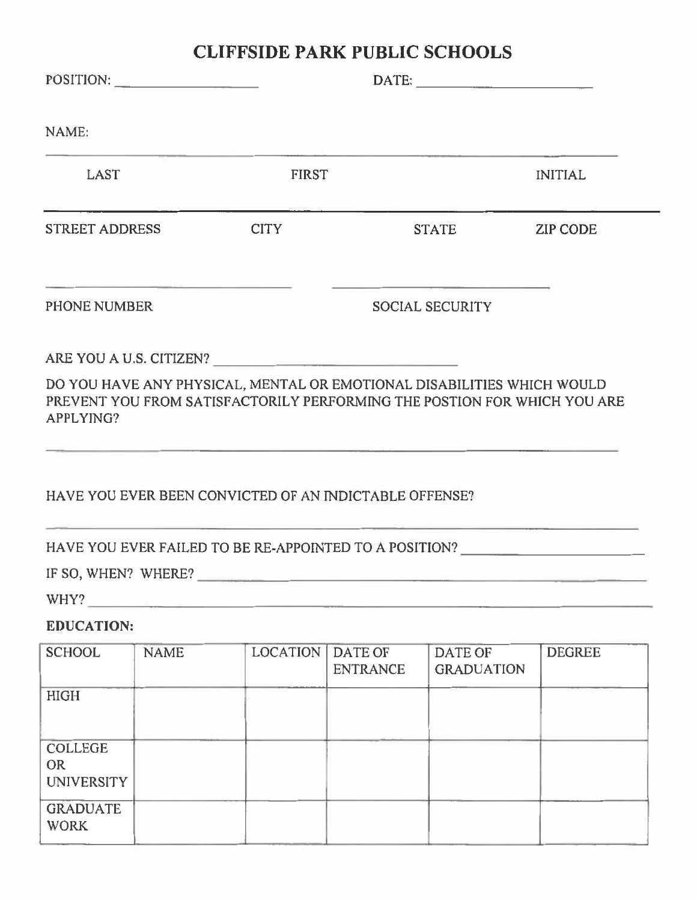|                                                  |             | <b>CLIFFSIDE PARK PUBLIC SCHOOLS</b>                   |                                   |                                                                                                                                                                                   |                 |
|--------------------------------------------------|-------------|--------------------------------------------------------|-----------------------------------|-----------------------------------------------------------------------------------------------------------------------------------------------------------------------------------|-----------------|
|                                                  |             | POSITION:                                              |                                   | $\text{DATE:}$                                                                                                                                                                    |                 |
| NAME:                                            |             |                                                        |                                   |                                                                                                                                                                                   |                 |
| LAST                                             |             |                                                        | <b>FIRST</b>                      |                                                                                                                                                                                   |                 |
| STREET ADDRESS                                   |             | <b>CITY</b>                                            |                                   | <b>STATE</b>                                                                                                                                                                      | <b>ZIP CODE</b> |
| PHONE NUMBER                                     |             |                                                        | <b>SOCIAL SECURITY</b>            |                                                                                                                                                                                   |                 |
|                                                  |             | ARE YOU A U.S. CITIZEN?                                |                                   |                                                                                                                                                                                   |                 |
| APPLYING?                                        |             |                                                        |                                   | DO YOU HAVE ANY PHYSICAL, MENTAL OR EMOTIONAL DISABILITIES WHICH WOULD<br>PREVENT YOU FROM SATISFACTORILY PERFORMING THE POSTION FOR WHICH YOU ARE                                |                 |
|                                                  |             | HAVE YOU EVER BEEN CONVICTED OF AN INDICTABLE OFFENSE? |                                   |                                                                                                                                                                                   |                 |
|                                                  |             |                                                        |                                   | the control of the control of the control of the control of the control of the control of the control of the control of<br>HAVE YOU EVER FAILED TO BE RE-APPOINTED TO A POSITION? |                 |
| IF SO, WHEN? WHERE?                              |             |                                                        |                                   |                                                                                                                                                                                   |                 |
| WHY?                                             |             |                                                        |                                   |                                                                                                                                                                                   |                 |
| <b>EDUCATION:</b>                                |             |                                                        |                                   |                                                                                                                                                                                   |                 |
| <b>SCHOOL</b>                                    | <b>NAME</b> | <b>LOCATION</b>                                        | <b>DATE OF</b><br><b>ENTRANCE</b> | DATE OF<br><b>GRADUATION</b>                                                                                                                                                      | <b>DEGREE</b>   |
| <b>HIGH</b>                                      |             |                                                        |                                   |                                                                                                                                                                                   |                 |
| <b>COLLEGE</b><br><b>OR</b><br><b>UNIVERSITY</b> |             |                                                        |                                   |                                                                                                                                                                                   |                 |
| <b>GRADUATE</b><br><b>WORK</b>                   |             |                                                        |                                   |                                                                                                                                                                                   |                 |